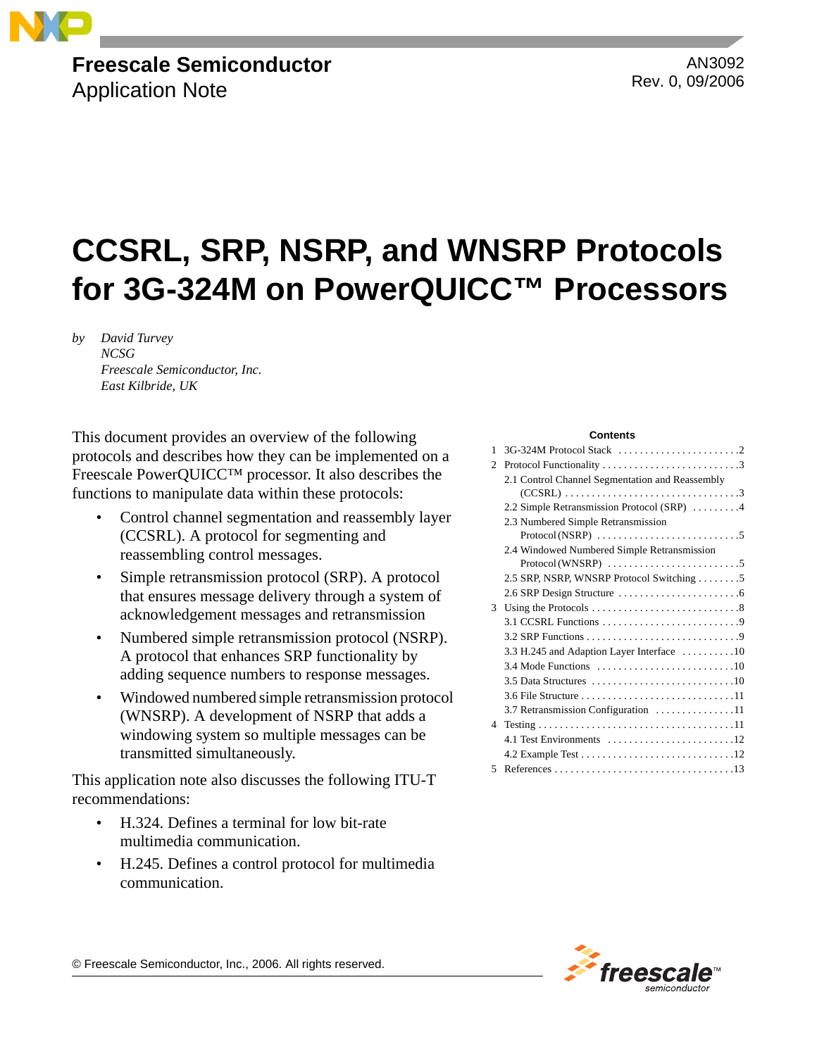

# **Freescale Semiconductor**

Application Note

AN3092 Rev. 0, 09/2006

# **CCSRL, SRP, NSRP, and WNSRP Protocols for 3G-324M on PowerQUICC™ Processors**

*by David Turvey NCSG Freescale Semiconductor, Inc. East Kilbride, UK*

This document provides an overview of the following protocols and describes how they can be implemented on a Freescale PowerQUICC™ processor. It also describes the functions to manipulate data within these protocols:

- Control channel segmentation and reassembly layer (CCSRL). A protocol for segmenting and reassembling control messages.
- Simple retransmission protocol (SRP). A protocol that ensures message delivery through a system of acknowledgement messages and retransmission
- Numbered simple retransmission protocol (NSRP). A protocol that enhances SRP functionality by adding sequence numbers to response messages.
- Windowed numbered simple retransmission protocol (WNSRP). A development of NSRP that adds a windowing system so multiple messages can be transmitted simultaneously.

This application note also discusses the following ITU-T recommendations:

- H.324. Defines a terminal for low bit-rate multimedia communication.
- H.245. Defines a control protocol for multimedia communication.

#### **Contents**

| 1  |                                                                                    |
|----|------------------------------------------------------------------------------------|
| 2  |                                                                                    |
|    | 2.1 Control Channel Segmentation and Reassembly                                    |
|    |                                                                                    |
|    | 2.2 Simple Retransmission Protocol (SRP) 4                                         |
|    | 2.3 Numbered Simple Retransmission                                                 |
|    | $Protocol(NSRP) \dots \dots \dots \dots \dots \dots \dots \dots \dots \dots \dots$ |
|    | 2.4 Windowed Numbered Simple Retransmission                                        |
|    | $Protocol(WNSRP) \dots \dots \dots \dots \dots \dots \dots \dots \dots \dots$      |
|    | 2.5 SRP, NSRP, WNSRP Protocol Switching 5                                          |
|    |                                                                                    |
| 3. |                                                                                    |
|    |                                                                                    |
|    |                                                                                    |
|    | 3.3 H.245 and Adaption Layer Interface 10                                          |
|    |                                                                                    |
|    |                                                                                    |
|    |                                                                                    |
|    |                                                                                    |
| 4  |                                                                                    |
|    |                                                                                    |
|    |                                                                                    |
| 5  |                                                                                    |



© Freescale Semiconductor, Inc., 2006. All rights reserved.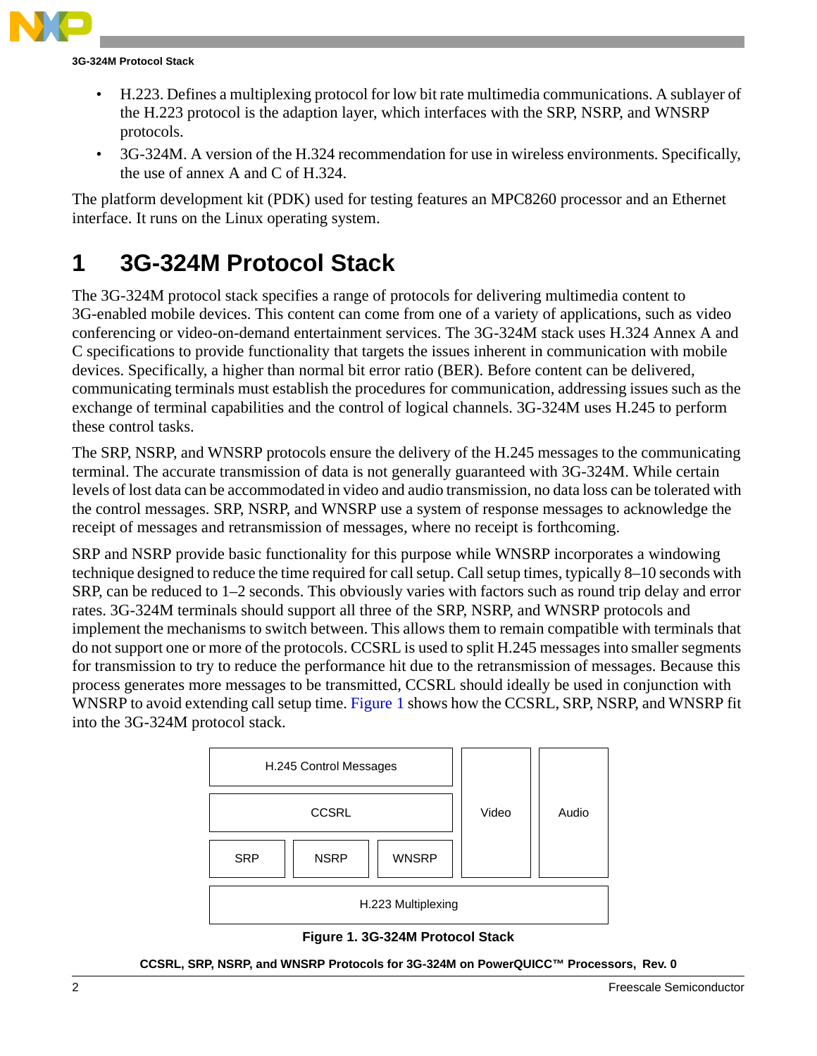

#### **3G-324M Protocol Stack**

- H.223. Defines a multiplexing protocol for low bit rate multimedia communications. A sublayer of the H.223 protocol is the adaption layer, which interfaces with the SRP, NSRP, and WNSRP protocols.
- 3G-324M. A version of the H.324 recommendation for use in wireless environments. Specifically, the use of annex A and C of H.324.

The platform development kit (PDK) used for testing features an MPC8260 processor and an Ethernet interface. It runs on the Linux operating system.

# **1 3G-324M Protocol Stack**

The 3G-324M protocol stack specifies a range of protocols for delivering multimedia content to 3G-enabled mobile devices. This content can come from one of a variety of applications, such as video conferencing or video-on-demand entertainment services. The 3G-324M stack uses H.324 Annex A and C specifications to provide functionality that targets the issues inherent in communication with mobile devices. Specifically, a higher than normal bit error ratio (BER). Before content can be delivered, communicating terminals must establish the procedures for communication, addressing issues such as the exchange of terminal capabilities and the control of logical channels. 3G-324M uses H.245 to perform these control tasks.

The SRP, NSRP, and WNSRP protocols ensure the delivery of the H.245 messages to the communicating terminal. The accurate transmission of data is not generally guaranteed with 3G-324M. While certain levels of lost data can be accommodated in video and audio transmission, no data loss can be tolerated with the control messages. SRP, NSRP, and WNSRP use a system of response messages to acknowledge the receipt of messages and retransmission of messages, where no receipt is forthcoming.

SRP and NSRP provide basic functionality for this purpose while WNSRP incorporates a windowing technique designed to reduce the time required for call setup. Call setup times, typically 8–10 seconds with SRP, can be reduced to 1–2 seconds. This obviously varies with factors such as round trip delay and error rates. 3G-324M terminals should support all three of the SRP, NSRP, and WNSRP protocols and implement the mechanisms to switch between. This allows them to remain compatible with terminals that do not support one or more of the protocols. CCSRL is used to split H.245 messages into smaller segments for transmission to try to reduce the performance hit due to the retransmission of messages. Because this process generates more messages to be transmitted, CCSRL should ideally be used in conjunction with WNSRP to avoid extending call setup time. [Figure 1](#page-1-0) shows how the CCSRL, SRP, NSRP, and WNSRP fit into the 3G-324M protocol stack.





<span id="page-1-0"></span>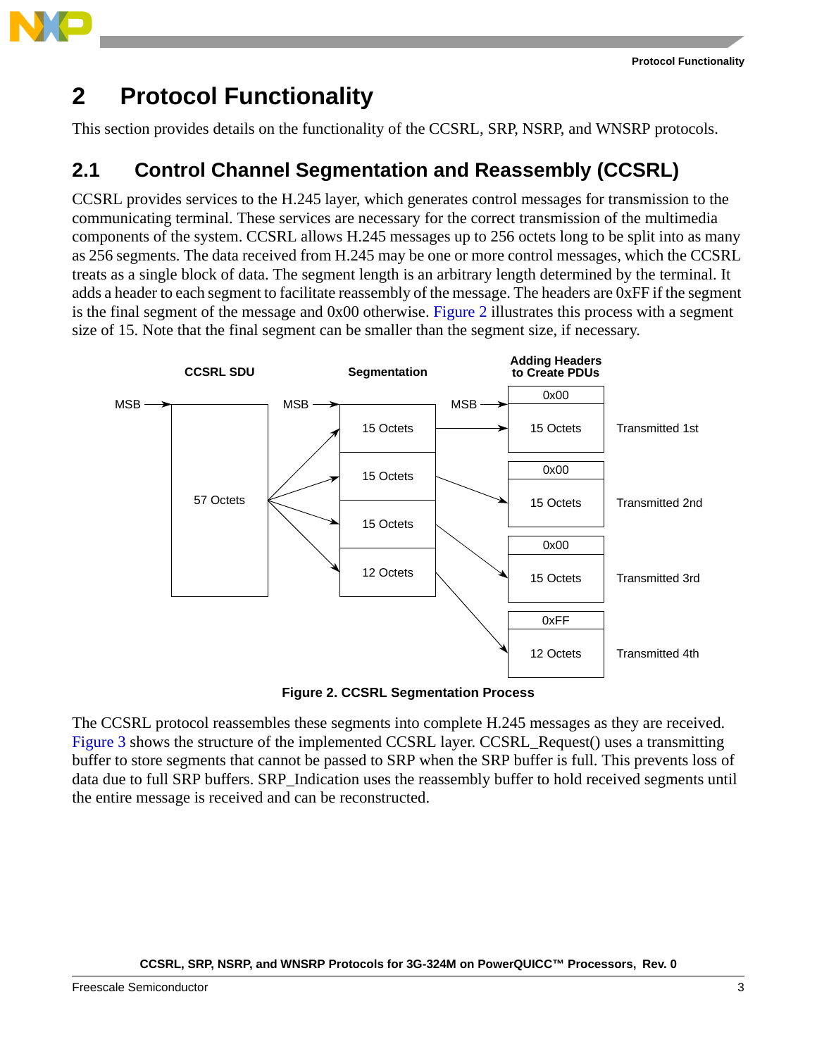

## **2 Protocol Functionality**

This section provides details on the functionality of the CCSRL, SRP, NSRP, and WNSRP protocols.

#### **2.1 Control Channel Segmentation and Reassembly (CCSRL)**

CCSRL provides services to the H.245 layer, which generates control messages for transmission to the communicating terminal. These services are necessary for the correct transmission of the multimedia components of the system. CCSRL allows H.245 messages up to 256 octets long to be split into as many as 256 segments. The data received from H.245 may be one or more control messages, which the CCSRL treats as a single block of data. The segment length is an arbitrary length determined by the terminal. It adds a header to each segment to facilitate reassembly of the message. The headers are 0xFF if the segment is the final segment of the message and 0x00 otherwise. [Figure 2](#page-2-0) illustrates this process with a segment size of 15. Note that the final segment can be smaller than the segment size, if necessary.



**Figure 2. CCSRL Segmentation Process**

<span id="page-2-0"></span>The CCSRL protocol reassembles these segments into complete H.245 messages as they are received. [Figure 3](#page-3-0) shows the structure of the implemented CCSRL layer. CCSRL Request() uses a transmitting buffer to store segments that cannot be passed to SRP when the SRP buffer is full. This prevents loss of data due to full SRP buffers. SRP\_Indication uses the reassembly buffer to hold received segments until the entire message is received and can be reconstructed.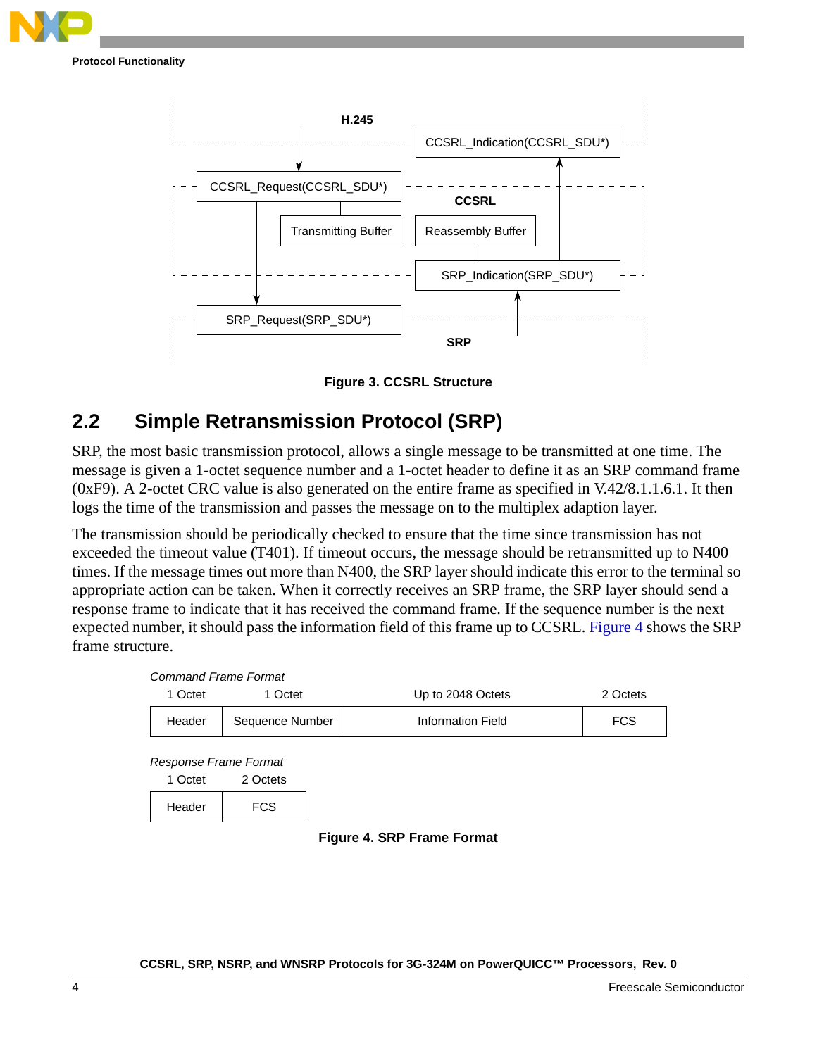

**Protocol Functionality**



**Figure 3. CCSRL Structure**

### <span id="page-3-0"></span>**2.2 Simple Retransmission Protocol (SRP)**

<span id="page-3-1"></span>Header **FCS** 

SRP, the most basic transmission protocol, allows a single message to be transmitted at one time. The message is given a 1-octet sequence number and a 1-octet header to define it as an SRP command frame (0xF9). A 2-octet CRC value is also generated on the entire frame as specified in V.42/8.1.1.6.1. It then logs the time of the transmission and passes the message on to the multiplex adaption layer.

The transmission should be periodically checked to ensure that the time since transmission has not exceeded the timeout value (T401). If timeout occurs, the message should be retransmitted up to N400 times. If the message times out more than N400, the SRP layer should indicate this error to the terminal so appropriate action can be taken. When it correctly receives an SRP frame, the SRP layer should send a response frame to indicate that it has received the command frame. If the sequence number is the next expected number, it should pass the information field of this frame up to CCSRL. [Figure 4](#page-3-1) shows the SRP frame structure.

| <b>Command Frame Format</b>                  |                 |                   |            |  |  |  |  |  |  |
|----------------------------------------------|-----------------|-------------------|------------|--|--|--|--|--|--|
| 1 Octet                                      | 1 Octet         | Up to 2048 Octets | 2 Octets   |  |  |  |  |  |  |
| Header                                       | Sequence Number | Information Field | <b>FCS</b> |  |  |  |  |  |  |
| Response Frame Format<br>1 Octet<br>2 Octets |                 |                   |            |  |  |  |  |  |  |

**Figure 4. SRP Frame Format**

#### **CCSRL, SRP, NSRP, and WNSRP Protocols for 3G-324M on PowerQUICC™ Processors, Rev. 0**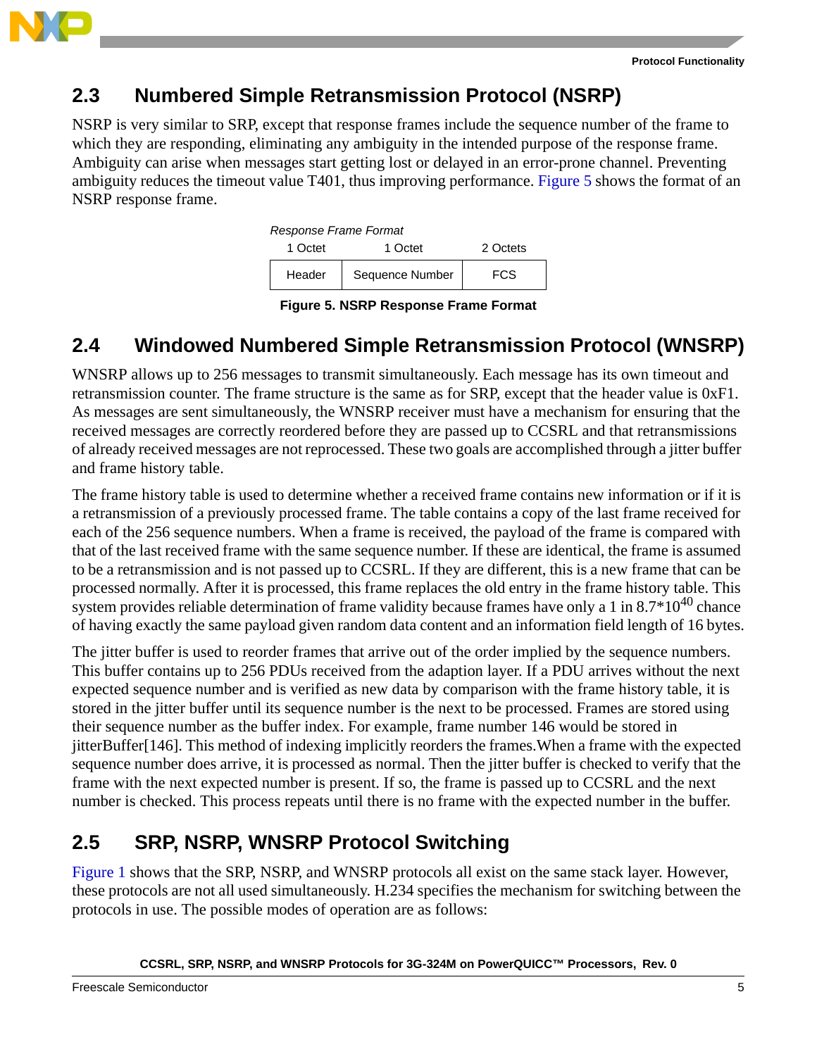

### **2.3 Numbered Simple Retransmission Protocol (NSRP)**

NSRP is very similar to SRP, except that response frames include the sequence number of the frame to which they are responding, eliminating any ambiguity in the intended purpose of the response frame. Ambiguity can arise when messages start getting lost or delayed in an error-prone channel. Preventing ambiguity reduces the timeout value T401, thus improving performance. [Figure 5](#page-4-0) shows the format of an NSRP response frame.

| Response Frame Format |                 |          |  |  |  |  |  |  |  |
|-----------------------|-----------------|----------|--|--|--|--|--|--|--|
| 1 Octet               | 1 Octet         | 2 Octets |  |  |  |  |  |  |  |
| Header                | Sequence Number | FCS      |  |  |  |  |  |  |  |

**Figure 5. NSRP Response Frame Format**

#### <span id="page-4-0"></span>**2.4 Windowed Numbered Simple Retransmission Protocol (WNSRP)**

WNSRP allows up to 256 messages to transmit simultaneously. Each message has its own timeout and retransmission counter. The frame structure is the same as for SRP, except that the header value is 0xF1. As messages are sent simultaneously, the WNSRP receiver must have a mechanism for ensuring that the received messages are correctly reordered before they are passed up to CCSRL and that retransmissions of already received messages are not reprocessed. These two goals are accomplished through a jitter buffer and frame history table.

The frame history table is used to determine whether a received frame contains new information or if it is a retransmission of a previously processed frame. The table contains a copy of the last frame received for each of the 256 sequence numbers. When a frame is received, the payload of the frame is compared with that of the last received frame with the same sequence number. If these are identical, the frame is assumed to be a retransmission and is not passed up to CCSRL. If they are different, this is a new frame that can be processed normally. After it is processed, this frame replaces the old entry in the frame history table. This system provides reliable determination of frame validity because frames have only a 1 in  $8.7*10^{40}$  chance of having exactly the same payload given random data content and an information field length of 16 bytes.

The jitter buffer is used to reorder frames that arrive out of the order implied by the sequence numbers. This buffer contains up to 256 PDUs received from the adaption layer. If a PDU arrives without the next expected sequence number and is verified as new data by comparison with the frame history table, it is stored in the jitter buffer until its sequence number is the next to be processed. Frames are stored using their sequence number as the buffer index. For example, frame number 146 would be stored in jitterBuffer[146]. This method of indexing implicitly reorders the frames.When a frame with the expected sequence number does arrive, it is processed as normal. Then the jitter buffer is checked to verify that the frame with the next expected number is present. If so, the frame is passed up to CCSRL and the next number is checked. This process repeats until there is no frame with the expected number in the buffer.

### <span id="page-4-1"></span>**2.5 SRP, NSRP, WNSRP Protocol Switching**

[Figure 1](#page-1-0) shows that the SRP, NSRP, and WNSRP protocols all exist on the same stack layer. However, these protocols are not all used simultaneously. H.234 specifies the mechanism for switching between the protocols in use. The possible modes of operation are as follows: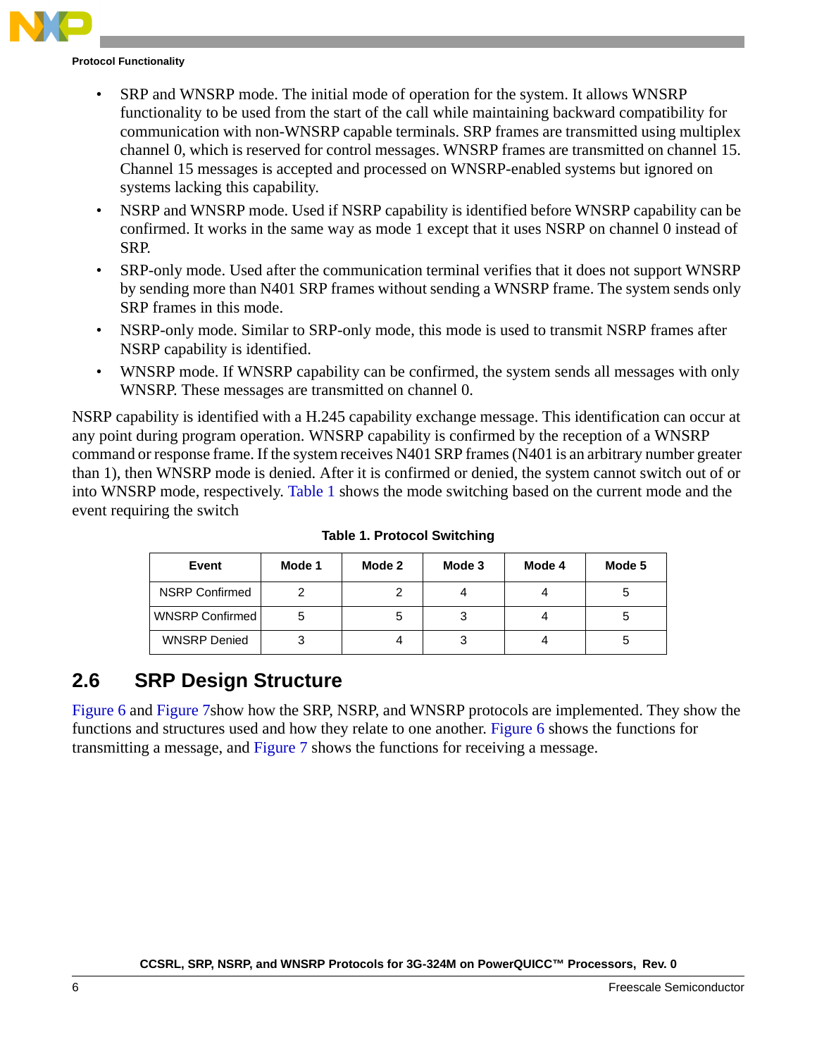#### **Protocol Functionality**

- SRP and WNSRP mode. The initial mode of operation for the system. It allows WNSRP functionality to be used from the start of the call while maintaining backward compatibility for communication with non-WNSRP capable terminals. SRP frames are transmitted using multiplex channel 0, which is reserved for control messages. WNSRP frames are transmitted on channel 15. Channel 15 messages is accepted and processed on WNSRP-enabled systems but ignored on systems lacking this capability.
- NSRP and WNSRP mode. Used if NSRP capability is identified before WNSRP capability can be confirmed. It works in the same way as mode 1 except that it uses NSRP on channel 0 instead of SRP.
- SRP-only mode. Used after the communication terminal verifies that it does not support WNSRP by sending more than N401 SRP frames without sending a WNSRP frame. The system sends only SRP frames in this mode.
- NSRP-only mode. Similar to SRP-only mode, this mode is used to transmit NSRP frames after NSRP capability is identified.
- WNSRP mode. If WNSRP capability can be confirmed, the system sends all messages with only WNSRP. These messages are transmitted on channel 0.

NSRP capability is identified with a H.245 capability exchange message. This identification can occur at any point during program operation. WNSRP capability is confirmed by the reception of a WNSRP command or response frame. If the system receives N401 SRP frames (N401 is an arbitrary number greater than 1), then WNSRP mode is denied. After it is confirmed or denied, the system cannot switch out of or into WNSRP mode, respectively. [Table 1](#page-5-0) shows the mode switching based on the current mode and the event requiring the switch

<span id="page-5-0"></span>

| Event               | Mode 1 | Mode 2 | Mode 3 | Mode 4 | Mode 5 |
|---------------------|--------|--------|--------|--------|--------|
| NSRP Confirmed      |        |        |        |        |        |
| WNSRP Confirmed     | 5      | э      | 3      |        |        |
| <b>WNSRP Denied</b> | 3      | 4      | 3      |        | G      |

**Table 1. Protocol Switching**

### **2.6 SRP Design Structure**

[Figure 6](#page-6-0) and [Figure 7s](#page-7-0)how how the SRP, NSRP, and WNSRP protocols are implemented. They show the functions and structures used and how they relate to one another. [Figure 6](#page-6-0) shows the functions for transmitting a message, and [Figure 7](#page-7-0) shows the functions for receiving a message.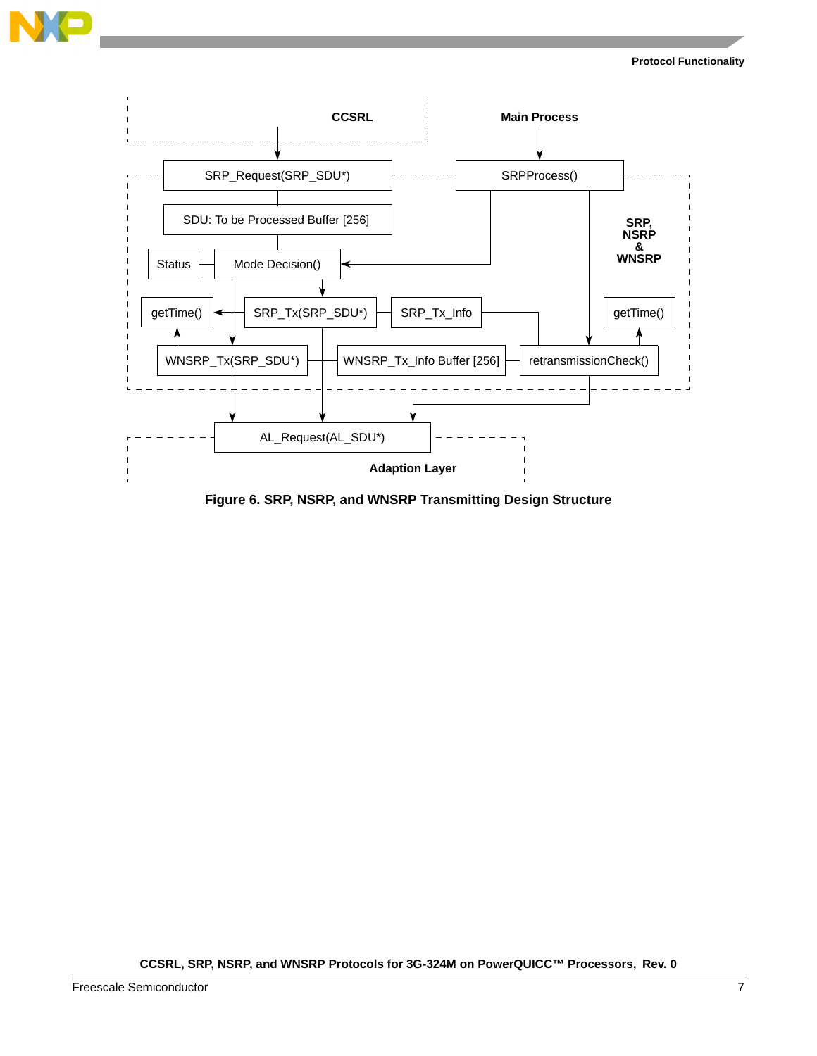

**Protocol Functionality**



<span id="page-6-0"></span>**Figure 6. SRP, NSRP, and WNSRP Transmitting Design Structure**

**CCSRL, SRP, NSRP, and WNSRP Protocols for 3G-324M on PowerQUICC™ Processors, Rev. 0**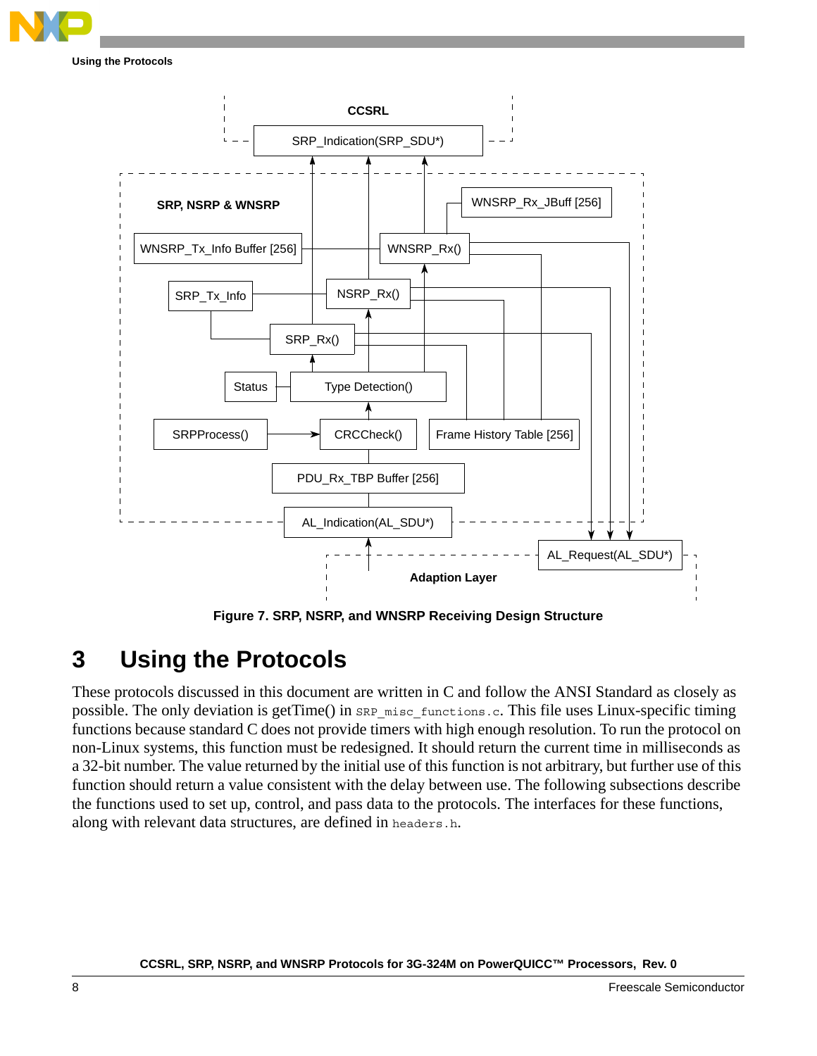

**Using the Protocols**



**Figure 7. SRP, NSRP, and WNSRP Receiving Design Structure**

# <span id="page-7-0"></span>**3 Using the Protocols**

These protocols discussed in this document are written in C and follow the ANSI Standard as closely as possible. The only deviation is getTime() in SRP\_misc\_functions.c. This file uses Linux-specific timing functions because standard C does not provide timers with high enough resolution. To run the protocol on non-Linux systems, this function must be redesigned. It should return the current time in milliseconds as a 32-bit number. The value returned by the initial use of this function is not arbitrary, but further use of this function should return a value consistent with the delay between use. The following subsections describe the functions used to set up, control, and pass data to the protocols. The interfaces for these functions, along with relevant data structures, are defined in headers.h.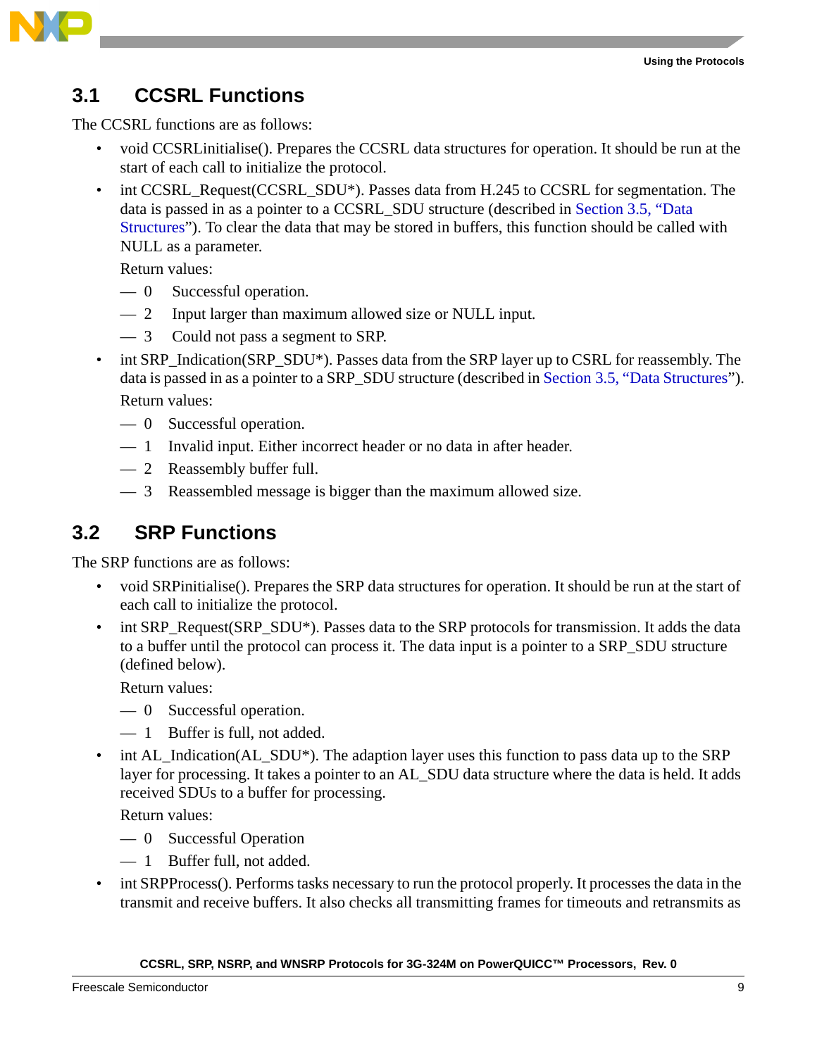

#### **3.1 CCSRL Functions**

The CCSRL functions are as follows:

- void CCSRLinitialise(). Prepares the CCSRL data structures for operation. It should be run at the start of each call to initialize the protocol.
- int CCSRL\_Request(CCSRL\_SDU\*). Passes data from H.245 to CCSRL for segmentation. The data is passed in as a pointer to a CCSRL\_SDU structure (described in [Section 3.5, "Data](#page-9-0)  [Structures"](#page-9-0)). To clear the data that may be stored in buffers, this function should be called with NULL as a parameter.

Return values:

- 0 Successful operation.
- 2 Input larger than maximum allowed size or NULL input.
- 3 Could not pass a segment to SRP.
- int SRP Indication(SRP SDU\*). Passes data from the SRP layer up to CSRL for reassembly. The data is passed in as a pointer to a SRP\_SDU structure (described in [Section 3.5, "Data Structures"](#page-9-0)). Return values:
	- 0 Successful operation.
	- 1 Invalid input. Either incorrect header or no data in after header.
	- 2 Reassembly buffer full.
	- 3 Reassembled message is bigger than the maximum allowed size.

#### **3.2 SRP Functions**

The SRP functions are as follows:

- void SRP initialise (). Prepares the SRP data structures for operation. It should be run at the start of each call to initialize the protocol.
- int SRP\_Request(SRP\_SDU\*). Passes data to the SRP protocols for transmission. It adds the data to a buffer until the protocol can process it. The data input is a pointer to a SRP\_SDU structure (defined below).

Return values:

- 0 Successful operation.
- 1 Buffer is full, not added.
- int AL Indication(AL SDU<sup>\*</sup>). The adaption layer uses this function to pass data up to the SRP layer for processing. It takes a pointer to an AL\_SDU data structure where the data is held. It adds received SDUs to a buffer for processing.

Return values:

- 0 Successful Operation
- 1 Buffer full, not added.
- int SRPProcess(). Performs tasks necessary to run the protocol properly. It processes the data in the transmit and receive buffers. It also checks all transmitting frames for timeouts and retransmits as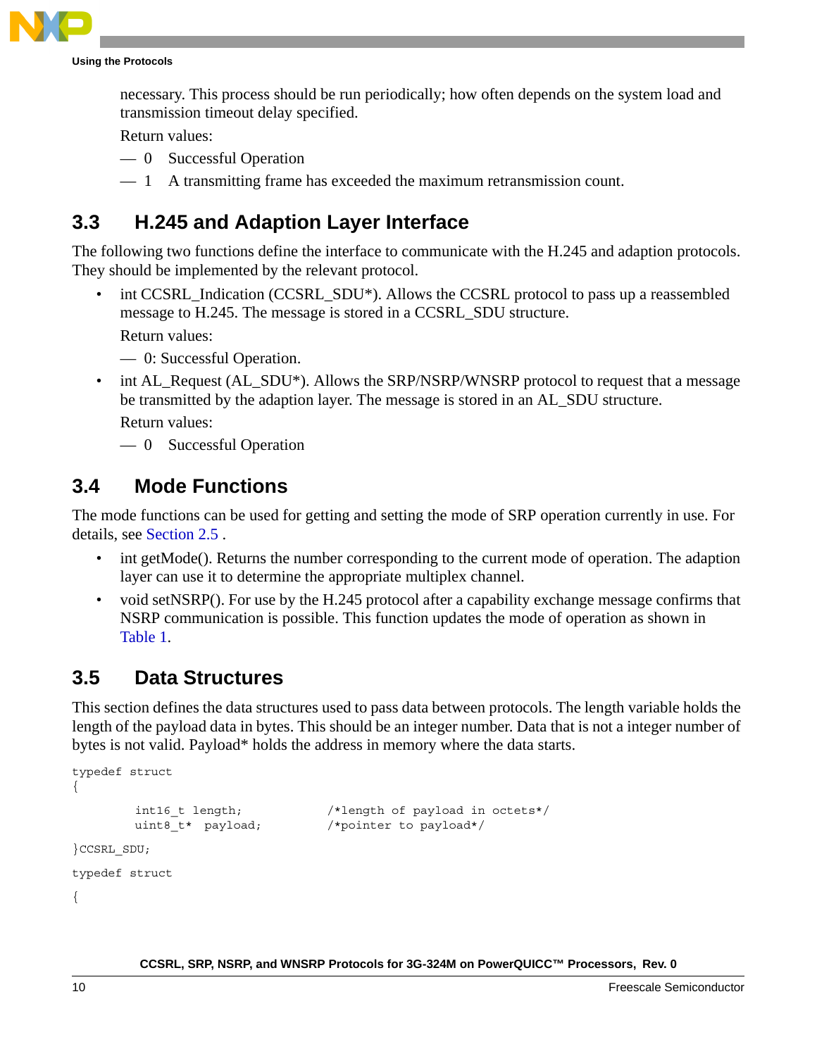

**Using the Protocols**

necessary. This process should be run periodically; how often depends on the system load and transmission timeout delay specified.

Return values:

- 0 Successful Operation
- 1 A transmitting frame has exceeded the maximum retransmission count.

### **3.3 H.245 and Adaption Layer Interface**

The following two functions define the interface to communicate with the H.245 and adaption protocols. They should be implemented by the relevant protocol.

int CCSRL\_Indication (CCSRL\_SDU<sup>\*</sup>). Allows the CCSRL protocol to pass up a reassembled message to H.245. The message is stored in a CCSRL\_SDU structure.

Return values:

- 0: Successful Operation.
- int AL\_Request (AL\_SDU\*). Allows the SRP/NSRP/WNSRP protocol to request that a message be transmitted by the adaption layer. The message is stored in an AL\_SDU structure.

Return values:

— 0 Successful Operation

#### **3.4 Mode Functions**

The mode functions can be used for getting and setting the mode of SRP operation currently in use. For details, see [Section 2.5 .](#page-4-1)

- int getMode(). Returns the number corresponding to the current mode of operation. The adaption layer can use it to determine the appropriate multiplex channel.
- void setNSRP(). For use by the H.245 protocol after a capability exchange message confirms that NSRP communication is possible. This function updates the mode of operation as shown in [Table 1](#page-5-0).

### <span id="page-9-0"></span>**3.5 Data Structures**

This section defines the data structures used to pass data between protocols. The length variable holds the length of the payload data in bytes. This should be an integer number. Data that is not a integer number of bytes is not valid. Payload\* holds the address in memory where the data starts.

```
typedef struct
{
       int16 t length; /*length of payload in octets*/
       uint8 t* payload; /*pointer to payload*/
}CCSRL_SDU;
typedef struct
{
```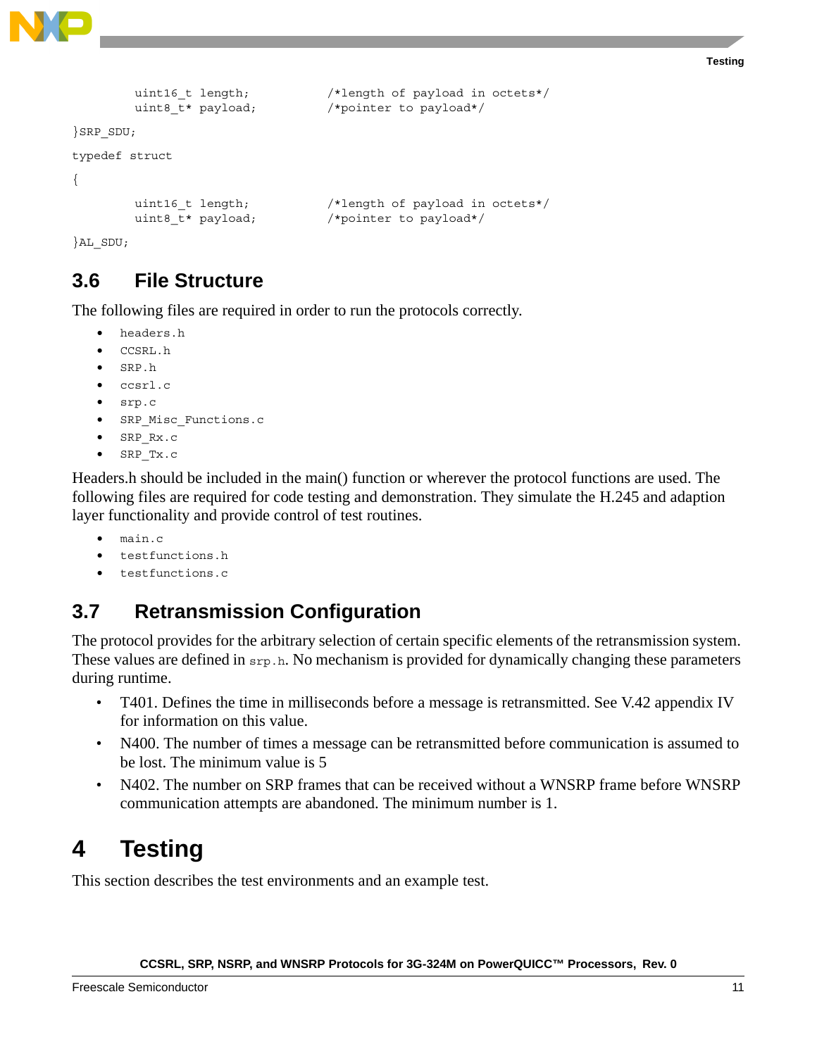```
uint16 t length; {\scriptstyle \prime} +length of payload in octets*/
        uint8_t* payload; /*pointer to payload*/
}SRP_SDU;
typedef struct
{
        uint16_t length; /*length of payload in octets*/
        uint8_t* payload; /*pointer to payload*/
```
}AL\_SDU;

#### **3.6 File Structure**

The following files are required in order to run the protocols correctly.

- headers.h
- CCSRL.h
- SRP.h
- ccsrl.c
- srp.c
- SRP\_Misc\_Functions.c
- SRP\_Rx.c
- SRP Tx.c

Headers.h should be included in the main() function or wherever the protocol functions are used. The following files are required for code testing and demonstration. They simulate the H.245 and adaption layer functionality and provide control of test routines.

- main.c
- testfunctions.h
- testfunctions.c

### **3.7 Retransmission Configuration**

The protocol provides for the arbitrary selection of certain specific elements of the retransmission system. These values are defined in srp.h. No mechanism is provided for dynamically changing these parameters during runtime.

- T401. Defines the time in milliseconds before a message is retransmitted. See V.42 appendix IV for information on this value.
- N400. The number of times a message can be retransmitted before communication is assumed to be lost. The minimum value is 5
- N402. The number on SRP frames that can be received without a WNSRP frame before WNSRP communication attempts are abandoned. The minimum number is 1.

## **4 Testing**

This section describes the test environments and an example test.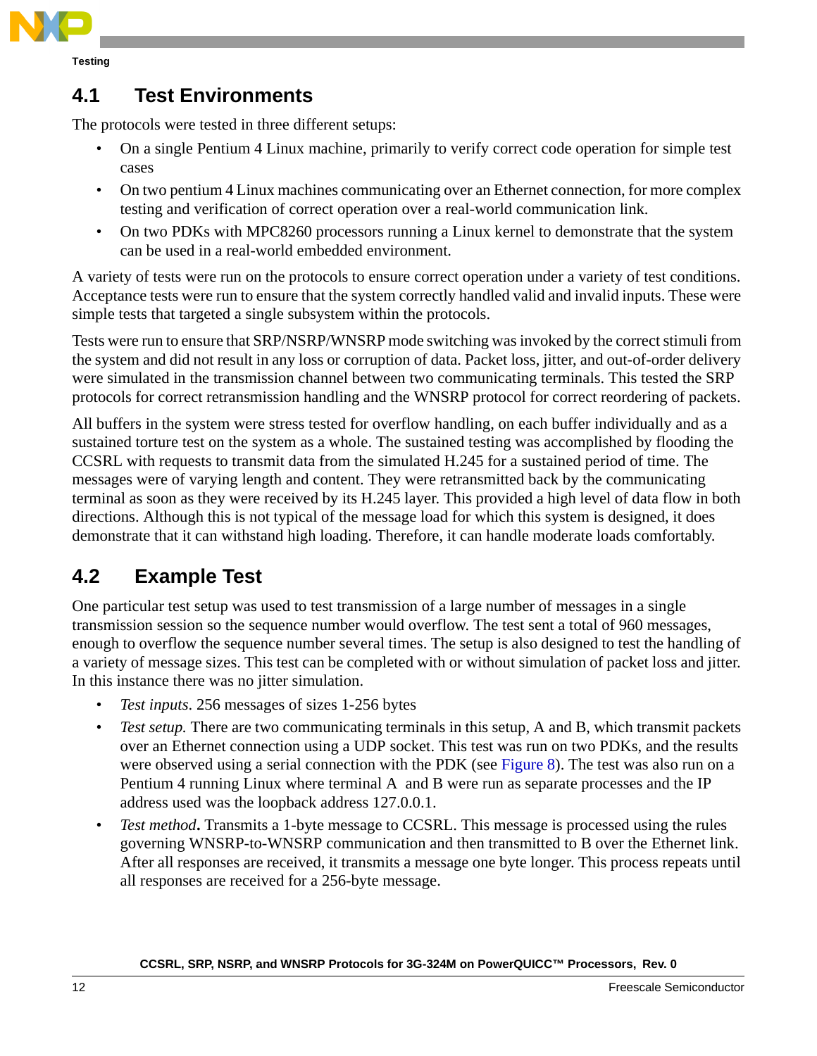

### **4.1 Test Environments**

The protocols were tested in three different setups:

- On a single Pentium 4 Linux machine, primarily to verify correct code operation for simple test cases
- On two pentium 4 Linux machines communicating over an Ethernet connection, for more complex testing and verification of correct operation over a real-world communication link.
- On two PDKs with MPC8260 processors running a Linux kernel to demonstrate that the system can be used in a real-world embedded environment.

A variety of tests were run on the protocols to ensure correct operation under a variety of test conditions. Acceptance tests were run to ensure that the system correctly handled valid and invalid inputs. These were simple tests that targeted a single subsystem within the protocols.

Tests were run to ensure that SRP/NSRP/WNSRP mode switching was invoked by the correct stimuli from the system and did not result in any loss or corruption of data. Packet loss, jitter, and out-of-order delivery were simulated in the transmission channel between two communicating terminals. This tested the SRP protocols for correct retransmission handling and the WNSRP protocol for correct reordering of packets.

All buffers in the system were stress tested for overflow handling, on each buffer individually and as a sustained torture test on the system as a whole. The sustained testing was accomplished by flooding the CCSRL with requests to transmit data from the simulated H.245 for a sustained period of time. The messages were of varying length and content. They were retransmitted back by the communicating terminal as soon as they were received by its H.245 layer. This provided a high level of data flow in both directions. Although this is not typical of the message load for which this system is designed, it does demonstrate that it can withstand high loading. Therefore, it can handle moderate loads comfortably.

### **4.2 Example Test**

One particular test setup was used to test transmission of a large number of messages in a single transmission session so the sequence number would overflow. The test sent a total of 960 messages, enough to overflow the sequence number several times. The setup is also designed to test the handling of a variety of message sizes. This test can be completed with or without simulation of packet loss and jitter. In this instance there was no jitter simulation.

- *Test inputs*. 256 messages of sizes 1-256 bytes
- *Test setup.* There are two communicating terminals in this setup, A and B, which transmit packets over an Ethernet connection using a UDP socket. This test was run on two PDKs, and the results were observed using a serial connection with the PDK (see [Figure 8](#page-12-0)). The test was also run on a Pentium 4 running Linux where terminal A and B were run as separate processes and the IP address used was the loopback address 127.0.0.1.
- *Test method***.** Transmits a 1-byte message to CCSRL. This message is processed using the rules governing WNSRP-to-WNSRP communication and then transmitted to B over the Ethernet link. After all responses are received, it transmits a message one byte longer. This process repeats until all responses are received for a 256-byte message.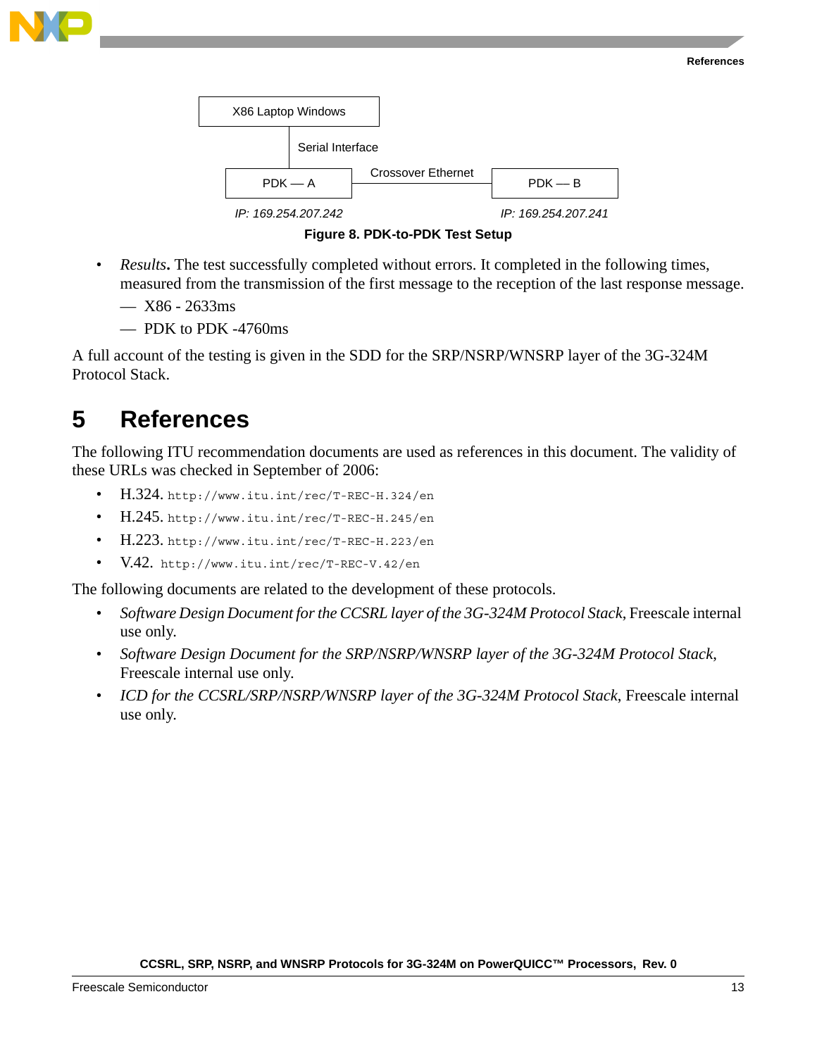#### **References**







- <span id="page-12-0"></span>• *Results***.** The test successfully completed without errors. It completed in the following times, measured from the transmission of the first message to the reception of the last response message.
	- $-$  X86 2633ms
	- PDK to PDK -4760ms

A full account of the testing is given in the SDD for the SRP/NSRP/WNSRP layer of the 3G-324M Protocol Stack.

### **5 References**

The following ITU recommendation documents are used as references in this document. The validity of these URLs was checked in September of 2006:

- H.324. http://www.itu.int/rec/T-REC-H.324/en
- H.245. http://www.itu.int/rec/T-REC-H.245/en
- H.223. http://www.itu.int/rec/T-REC-H.223/en
- V.42. http://www.itu.int/rec/T-REC-V.42/en

The following documents are related to the development of these protocols.

- *Software Design Document for the CCSRL layer of the 3G-324M Protocol Stack*, Freescale internal use only.
- *Software Design Document for the SRP/NSRP/WNSRP layer of the 3G-324M Protocol Stack*, Freescale internal use only.
- *ICD for the CCSRL/SRP/NSRP/WNSRP layer of the 3G-324M Protocol Stack*, Freescale internal use only.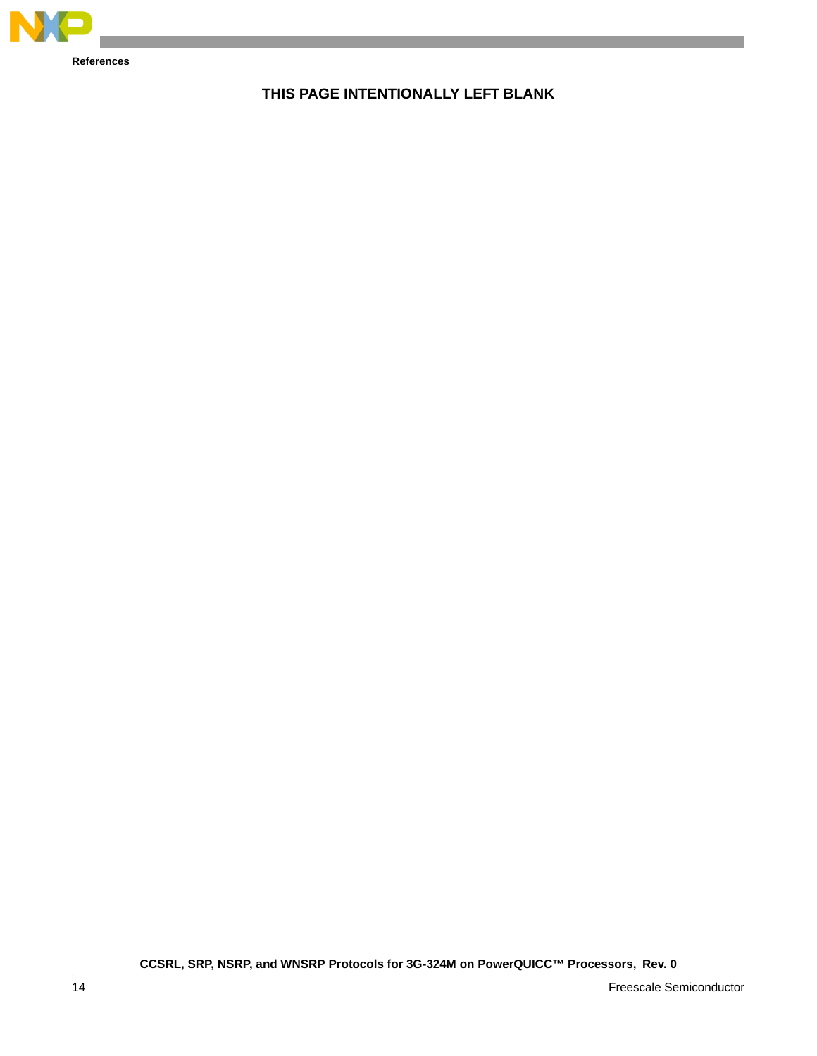

**References**

#### **THIS PAGE INTENTIONALLY LEFT BLANK**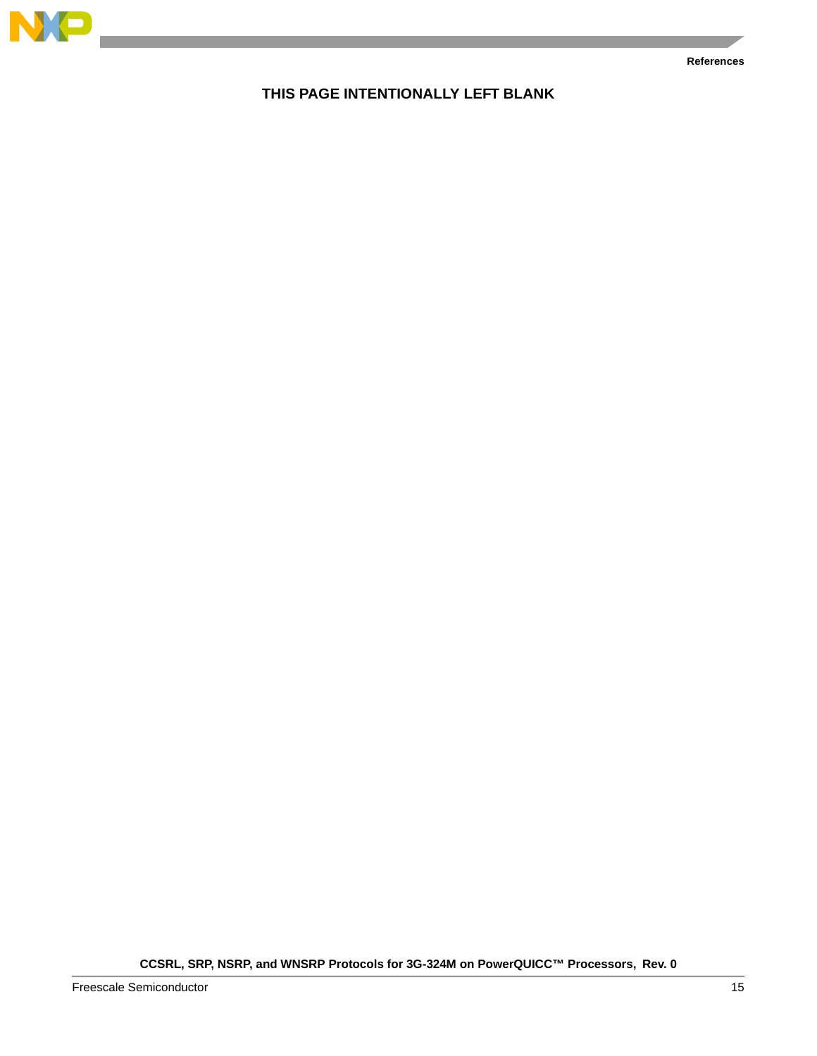

#### **THIS PAGE INTENTIONALLY LEFT BLANK**

**CCSRL, SRP, NSRP, and WNSRP Protocols for 3G-324M on PowerQUICC™ Processors, Rev. 0**